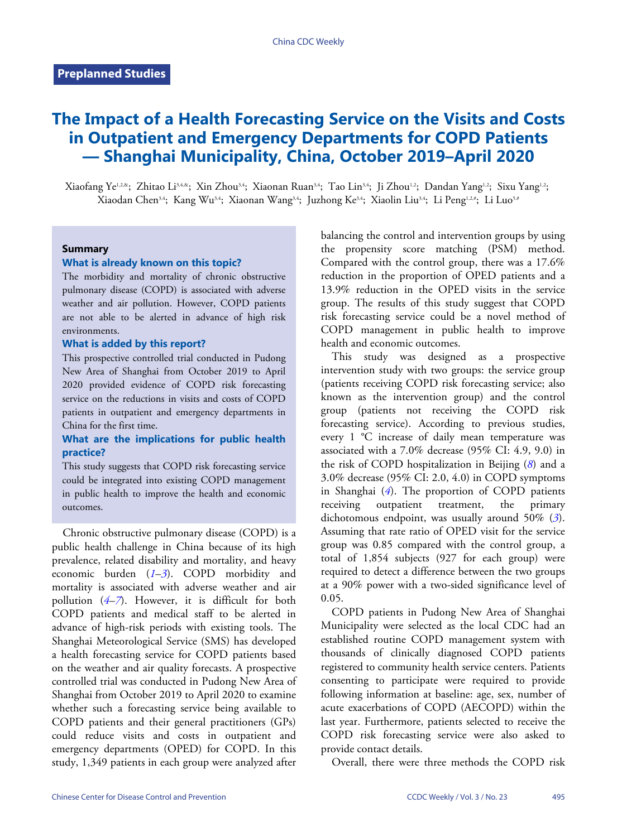# **The Impact of a Health Forecasting Service on the Visits and Costs in Outpatient and Emergency Departments for COPD Patients — Shanghai Municipality, China, October 2019–April 2020**

Xiaofang Ye<sup>1,2,&</sup>; Zhitao Li<sup>3,4,&</sup>; Xin Zhou<sup>3,4</sup>; Xiaonan Ruan<sup>3,4</sup>; Tao Lin<sup>3,4</sup>; Ji Zhou<sup>1,2</sup>; Dandan Yang<sup>1,2</sup>; Sixu Yang<sup>1,2</sup>; Xiaodan Chen<sup>3,4</sup>; Kang Wu<sup>3,4</sup>; Xiaonan Wang<sup>3,4</sup>; Juzhong Ke<sup>3,4</sup>; Xiaolin Liu<sup>3,4</sup>; Li Peng<sup>1,2,#</sup>; Li Luo<sup>5,#</sup>

#### **Summary**

#### **What is already known on this topic?**

The morbidity and mortality of chronic obstructive pulmonary disease (COPD) is associated with adverse weather and air pollution. However, COPD patients are not able to be alerted in advance of high risk environments.

#### **What is added by this report?**

This prospective controlled trial conducted in Pudong New Area of Shanghai from October 2019 to April 2020 provided evidence of COPD risk forecasting service on the reductions in visits and costs of COPD patients in outpatient and emergency departments in China for the first time.

### **What are the implications for public health practice?**

This study suggests that COPD risk forecasting service could be integrated into existing COPD management in public health to improve the health and economic outcomes.

Chronic obstructive pulmonary disease (COPD) is a public health challenge in China because of its high prevalence, related disability and mortality, and heavy economic burden (*[1](#page-4-0)*–*[3](#page-4-1)*). COPD morbidity and mortality is associated with adverse weather and air pollution  $(4-7)$  $(4-7)$  $(4-7)$  $(4-7)$  $(4-7)$ . However, it is difficult for both COPD patients and medical staff to be alerted in advance of high-risk periods with existing tools. The Shanghai Meteorological Service (SMS) has developed a health forecasting service for COPD patients based on the weather and air quality forecasts. A prospective controlled trial was conducted in Pudong New Area of Shanghai from October 2019 to April 2020 to examine whether such a forecasting service being available to COPD patients and their general practitioners (GPs) could reduce visits and costs in outpatient and emergency departments (OPED) for COPD. In this study, 1,349 patients in each group were analyzed after

balancing the control and intervention groups by using the propensity score matching (PSM) method. Compared with the control group, there was a 17.6% reduction in the proportion of OPED patients and a 13.9% reduction in the OPED visits in the service group. The results of this study suggest that COPD risk forecasting service could be a novel method of COPD management in public health to improve health and economic outcomes.

This study was designed as a prospective intervention study with two groups: the service group (patients receiving COPD risk forecasting service; also known as the intervention group) and the control group (patients not receiving the COPD risk forecasting service). According to previous studies, every 1 °C increase of daily mean temperature was associated with a 7.0% decrease (95% CI: 4.9, 9.0) in the risk of COPD hospitalization in Beijing (*[8](#page-4-4)*) and a 3.0% decrease (95% CI: 2.0, 4.0) in COPD symptoms in Shanghai (*[4](#page-4-2)*). The proportion of COPD patients receiving outpatient treatment, the primary dichotomous endpoint, was usually around 50% (*[3](#page-4-1)*). Assuming that rate ratio of OPED visit for the service group was 0.85 compared with the control group, a total of 1,854 subjects (927 for each group) were required to detect a difference between the two groups at a 90% power with a two-sided significance level of 0.05.

COPD patients in Pudong New Area of Shanghai Municipality were selected as the local CDC had an established routine COPD management system with thousands of clinically diagnosed COPD patients registered to community health service centers. Patients consenting to participate were required to provide following information at baseline: age, sex, number of acute exacerbations of COPD (AECOPD) within the last year. Furthermore, patients selected to receive the COPD risk forecasting service were also asked to provide contact details.

Overall, there were three methods the COPD risk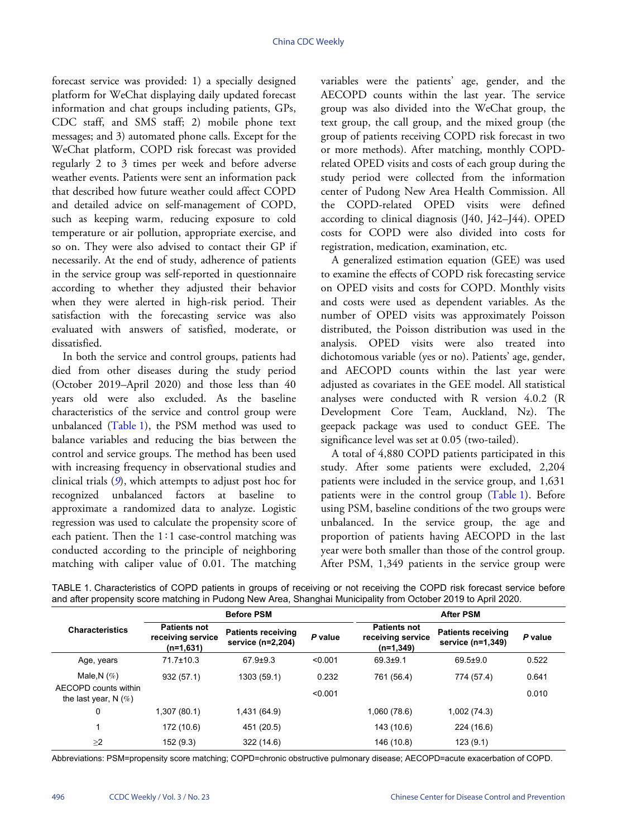forecast service was provided: 1) a specially designed platform for WeChat displaying daily updated forecast information and chat groups including patients, GPs, CDC staff, and SMS staff; 2) mobile phone text messages; and 3) automated phone calls. Except for the WeChat platform, COPD risk forecast was provided regularly 2 to 3 times per week and before adverse weather events. Patients were sent an information pack that described how future weather could affect COPD and detailed advice on self-management of COPD, such as keeping warm, reducing exposure to cold temperature or air pollution, appropriate exercise, and so on. They were also advised to contact their GP if necessarily. At the end of study, adherence of patients in the service group was self-reported in questionnaire according to whether they adjusted their behavior when they were alerted in high-risk period. Their satisfaction with the forecasting service was also evaluated with answers of satisfied, moderate, or dissatisfied.

In both the service and control groups, patients had died from other diseases during the study period (October 2019–April 2020) and those less than 40 years old were also excluded. As the baseline characteristic[s of the](#page-1-0) service and control group were unbalanced ([Table 1\)](#page-1-0), the PSM method was used to balance variables and reducing the bias between the control and service groups. The method has been used with increasi[ng](#page-4-5) frequency in observational studies and clinical trials (*[9](#page-4-5)*), which attempts to adjust post hoc for recognized unbalanced factors at baseline to approximate a randomized data to analyze. Logistic regression was used to calculate the propensity score of each patient. Then the 1∶1 case-control matching was conducted according to the principle of neighboring matching with caliper value of 0.01. The matching

variables were the patients' age, gender, and the AECOPD counts within the last year. The service group was also divided into the WeChat group, the text group, the call group, and the mixed group (the group of patients receiving COPD risk forecast in two or more methods). After matching, monthly COPDrelated OPED visits and costs of each group during the study period were collected from the information center of Pudong New Area Health Commission. All the COPD-related OPED visits were defined according to clinical diagnosis (J40, J42–J44). OPED costs for COPD were also divided into costs for registration, medication, examination, etc.

A generalized estimation equation (GEE) was used to examine the effects of COPD risk forecasting service on OPED visits and costs for COPD. Monthly visits and costs were used as dependent variables. As the number of OPED visits was approximately Poisson distributed, the Poisson distribution was used in the analysis. OPED visits were also treated into dichotomous variable (yes or no). Patients' age, gender, and AECOPD counts within the last year were adjusted as covariates in the GEE model. All statistical analyses were conducted with R version 4.0.2 (R Development Core Team, Auckland, Nz). The geepack package was used to conduct GEE. The significance level was set at 0.05 (two-tailed).

A total of 4,880 COPD patients participated in this study. After some patients were excluded, 2,204 patients were included in the service [group, an](#page-1-0)d 1,631 patients were in the control group ([Table 1](#page-1-0)). Before using PSM, baseline conditions of the two groups were unbalanced. In the service group, the age and proportion of patients having AECOPD in the last year were both smaller than those of the control group. After PSM, 1,349 patients in the service group were

<span id="page-1-0"></span>

| and after propensity score matching in Pudong New Area, Shanghai Municipality from October 2019 to April 2020.          |
|-------------------------------------------------------------------------------------------------------------------------|
| TABLE 1. Characteristics of COPD patients in groups of receiving or not receiving the COPD risk forecast service before |

|                                                 |                                                       | <b>Before PSM</b>                              |                                                                    | <b>After PSM</b> |                                                |         |  |
|-------------------------------------------------|-------------------------------------------------------|------------------------------------------------|--------------------------------------------------------------------|------------------|------------------------------------------------|---------|--|
| <b>Characteristics</b>                          | <b>Patients not</b><br>receiving service<br>(n=1,631) | <b>Patients receiving</b><br>service (n=2,204) | <b>Patients not</b><br>P value<br>receiving service<br>$(n=1,349)$ |                  | <b>Patients receiving</b><br>service (n=1,349) | P value |  |
| Age, years                                      | 71.7±10.3                                             | $67.9 + 9.3$                                   | < 0.001                                                            | $69.3 + 9.1$     | $69.5 \pm 9.0$                                 | 0.522   |  |
| Male, N $(\%)$                                  | 932(57.1)                                             | 1303 (59.1)                                    | 0.232                                                              | 761 (56.4)       | 774 (57.4)                                     | 0.641   |  |
| AECOPD counts within<br>the last year, N $(\%)$ |                                                       |                                                | < 0.001                                                            |                  |                                                | 0.010   |  |
| 0                                               | 1,307 (80.1)                                          | 1,431 (64.9)                                   |                                                                    | 1,060 (78.6)     | 1,002 (74.3)                                   |         |  |
| 1                                               | 172 (10.6)                                            | 451 (20.5)                                     |                                                                    | 143 (10.6)       | 224 (16.6)                                     |         |  |
| $\geq$ 2                                        | 152 (9.3)                                             | 322 (14.6)                                     |                                                                    | 146 (10.8)       | 123(9.1)                                       |         |  |

Abbreviations: PSM=propensity score matching; COPD=chronic obstructive pulmonary disease; AECOPD=acute exacerbation of COPD.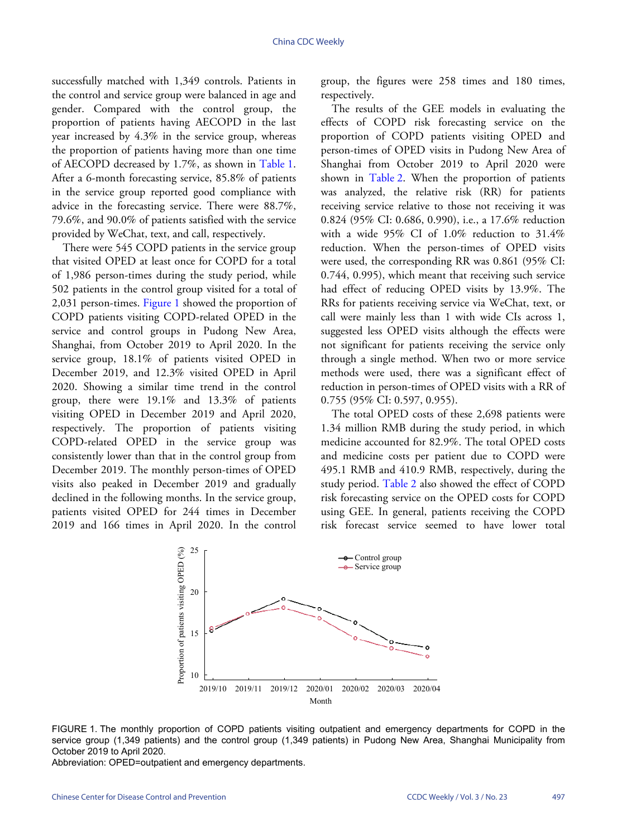successfully matched with 1,349 controls. Patients in the control and service group were balanced in age and gender. Compared with the control group, the proportion of patients having AECOPD in the last year increased by  $4.3\%$  in the service group, whereas the proportion of patients having more than one time of AECOPD decreased by 1.7%, as shown in [Table 1.](#page-1-0) After a 6-month forecasting service, 85.8% of patients in the service group reported good compliance with advice in the forecasting service. There were 88.7%, 79.6%, and 90.0% of patients satisfied with the service provided by WeChat, text, and call, respectively.

There were 545 COPD patients in the service group that visited OPED at least once for COPD for a total of 1,986 person-times during the study period, while 502 patients in the [control g](#page-2-0)roup visited for a total of 2,031 person-times. [Figure 1](#page-2-0) showed the proportion of COPD patients visiting COPD-related OPED in the service and control groups in Pudong New Area, Shanghai, from October 2019 to April 2020. In the service group, 18.1% of patients visited OPED in December 2019, and 12.3% visited OPED in April 2020. Showing a similar time trend in the control group, there were  $19.1\%$  and  $13.3\%$  of patients visiting OPED in December 2019 and April 2020, respectively. The proportion of patients visiting COPD-related OPED in the service group was consistently lower than that in the control group from December 2019. The monthly person-times of OPED visits also peaked in December 2019 and gradually declined in the following months. In the service group, patients visited OPED for 244 times in December 2019 and 166 times in April 2020. In the control

group, the figures were 258 times and 180 times, respectively.

The results of the GEE models in evaluating the effects of COPD risk forecasting service on the proportion of COPD patients visiting OPED and person-times of OPED visits in Pudong New Area of Shanghai from October 2019 to April 2020 were shown in [Table 2.](#page-3-0) When the proportion of patients was analyzed, the relative risk (RR) for patients receiving service relative to those not receiving it was 0.824 (95% CI: 0.686, 0.990), i.e., a 17.6% reduction with a wide  $95\%$  CI of  $1.0\%$  reduction to  $31.4\%$ reduction. When the person-times of OPED visits were used, the corresponding RR was 0.861 (95% CI: 0.744, 0.995), which meant that receiving such service had effect of reducing OPED visits by 13.9%. The RRs for patients receiving service via WeChat, text, or call were mainly less than 1 with wide CIs across 1, suggested less OPED visits although the effects were not significant for patients receiving the service only through a single method. When two or more service methods were used, there was a significant effect of reduction in person-times of OPED visits with a RR of 0.755 (95% CI: 0.597, 0.955).

The total OPED costs of these 2,698 patients were 1.34 million RMB during the study period, in which medicine accounted for 82.9%. The total OPED costs and medicine costs per patient due to COPD were 495.1 RMB [and 410.](#page-3-0)9 RMB, respectively, during the study period. [Table 2](#page-3-0) also showed the effect of COPD risk forecasting service on the OPED costs for COPD using GEE. In general, patients receiving the COPD risk forecast service seemed to have lower total

<span id="page-2-0"></span>

FIGURE 1. The monthly proportion of COPD patients visiting outpatient and emergency departments for COPD in the service group (1,349 patients) and the control group (1,349 patients) in Pudong New Area, Shanghai Municipality from October 2019 to April 2020.

Abbreviation: OPED=outpatient and emergency departments.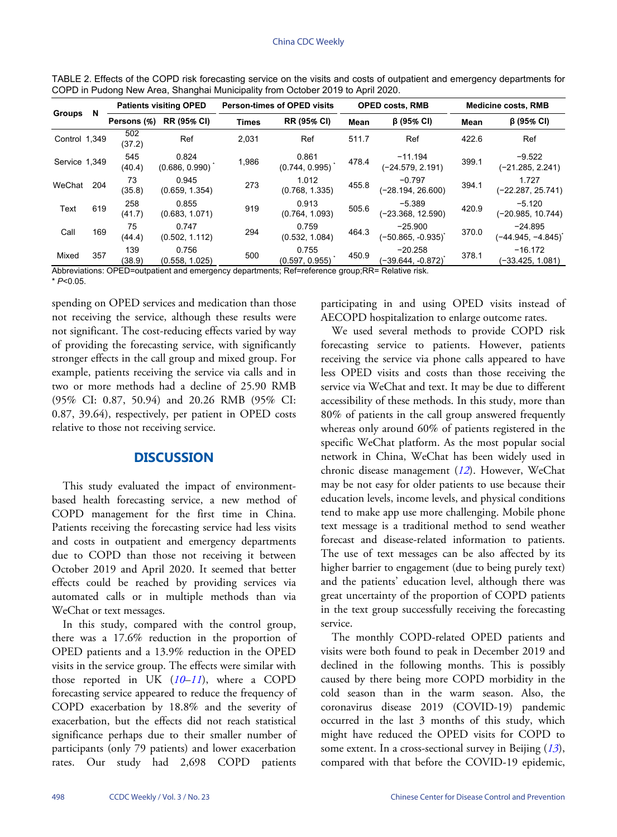| Groups        | N   | <b>Patients visiting OPED</b> |                         | <b>Person-times of OPED visits</b> |                         | <b>OPED costs, RMB</b> |                                 | <b>Medicine costs, RMB</b> |                                 |
|---------------|-----|-------------------------------|-------------------------|------------------------------------|-------------------------|------------------------|---------------------------------|----------------------------|---------------------------------|
|               |     | Persons (%)                   | <b>RR (95% CI)</b>      | <b>Times</b>                       | <b>RR (95% CI)</b>      | Mean                   | $\beta$ (95% CI)                | Mean                       | $\beta$ (95% CI)                |
| Control 1,349 |     | 502<br>(37.2)                 | Ref                     | 2.031                              | Ref                     | 511.7                  | Ref                             | 422.6                      | Ref                             |
| Service 1,349 |     | 545<br>(40.4)                 | 0.824<br>(0.686, 0.990) | 1,986                              | 0.861<br>(0.744, 0.995) | 478.4                  | $-11.194$<br>(-24.579, 2.191)   | 399.1                      | $-9.522$<br>(-21.285, 2.241)    |
| WeChat        | 204 | 73<br>(35.8)                  | 0.945<br>(0.659, 1.354) | 273                                | 1.012<br>(0.768, 1.335) | 455.8                  | $-0.797$<br>(-28.194, 26.600)   | 394.1                      | 1.727<br>(-22.287, 25.741)      |
| Text          | 619 | 258<br>(41.7)                 | 0.855<br>(0.683, 1.071) | 919                                | 0.913<br>(0.764, 1.093) | 505.6                  | $-5.389$<br>(-23.368, 12.590)   | 420.9                      | $-5.120$<br>(-20.985, 10.744)   |
| Call          | 169 | 75<br>(44.4)                  | 0.747<br>(0.502, 1.112) | 294                                | 0.759<br>(0.532, 1.084) | 464.3                  | $-25.900$<br>(-50.865, -0.935)` | 370.0                      | $-24.895$<br>(−44.945, −4.845)` |
| Mixed         | 357 | 139<br>(38.9)                 | 0.756<br>(0.558, 1.025) | 500                                | 0.755<br>(0.597, 0.955) | 450.9                  | $-20.258$<br>(-39.644. -0.872)  | 378.1                      | $-16.172$<br>(-33.425, 1.081)   |

<span id="page-3-0"></span>TABLE 2. Effects of the COPD risk forecasting service on the visits and costs of outpatient and emergency departments for COPD in Pudong New Area, Shanghai Municipality from October 2019 to April 2020.

Abbreviations: OPED=outpatient and emergency departments; Ref=reference group;RR= Relative risk. \* *P*<0.05.

spending on OPED services and medication than those not receiving the service, although these results were not significant. The cost-reducing effects varied by way of providing the forecasting service, with significantly stronger effects in the call group and mixed group. For example, patients receiving the service via calls and in two or more methods had a decline of 25.90 RMB (95% CI: 0.87, 50.94) and 20.26 RMB (95% CI: 0.87, 39.64), respectively, per patient in OPED costs relative to those not receiving service.

## **DISCUSSION**

This study evaluated the impact of environmentbased health forecasting service, a new method of COPD management for the first time in China. Patients receiving the forecasting service had less visits and costs in outpatient and emergency departments due to COPD than those not receiving it between October 2019 and April 2020. It seemed that better effects could be reached by providing services via automated calls or in multiple methods than via WeChat or text messages.

In this study, compared with the control group, there was a 17.6% reduction in the proportion of OPED patients and a 13.9% reduction in the OPED visits in the service group. [The](#page-4-6) [effe](#page-4-7)cts were similar with those reported in UK (*[10](#page-4-6)*–*[11](#page-4-7)*), where a COPD forecasting service appeared to reduce the frequency of COPD exacerbation by 18.8% and the severity of exacerbation, but the effects did not reach statistical significance perhaps due to their smaller number of participants (only 79 patients) and lower exacerbation rates. Our study had 2,698 COPD patients

participating in and using OPED visits instead of AECOPD hospitalization to enlarge outcome rates.

We used several methods to provide COPD risk forecasting service to patients. However, patients receiving the service via phone calls appeared to have less OPED visits and costs than those receiving the service via WeChat and text. It may be due to different accessibility of these methods. In this study, more than 80% of patients in the call group answered frequently whereas only around 60% of patients registered in the specific WeChat platform. As the most popular social network in China, WeChat [has](#page-4-8) been widely used in chronic disease management (*[12](#page-4-8)*). However, WeChat may be not easy for older patients to use because their education levels, income levels, and physical conditions tend to make app use more challenging. Mobile phone text message is a traditional method to send weather forecast and disease-related information to patients. The use of text messages can be also affected by its higher barrier to engagement (due to being purely text) and the patients' education level, although there was great uncertainty of the proportion of COPD patients in the text group successfully receiving the forecasting service.

The monthly COPD-related OPED patients and visits were both found to peak in December 2019 and declined in the following months. This is possibly caused by there being more COPD morbidity in the cold season than in the warm season. Also, the coronavirus disease 2019 (COVID-19) pandemic occurred in the last 3 months of this study, which might have reduced the OPED visits for COP[D t](#page-4-9)o some extent. In a cross-sectional survey in Beijing (*[13](#page-4-9)*), compared with that before the COVID-19 epidemic,